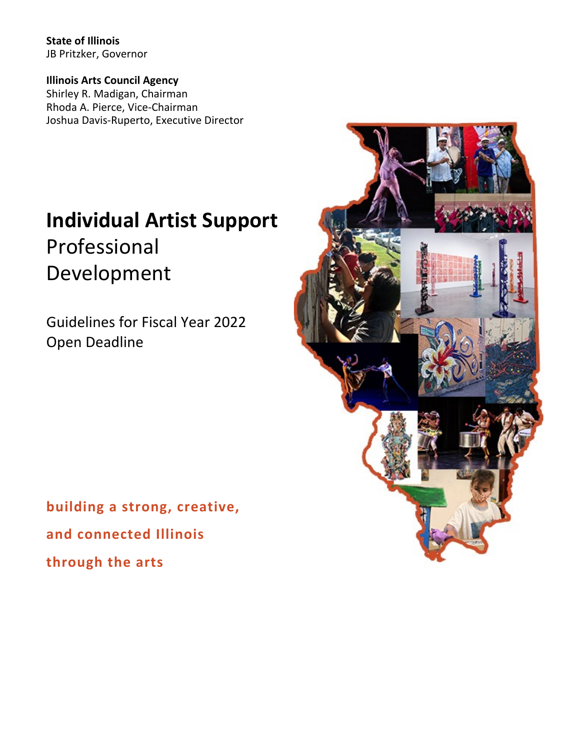**State of Illinois** JB Pritzker, Governor

**Illinois Arts Council Agency** Shirley R. Madigan, Chairman Rhoda A. Pierce, Vice-Chairman Joshua Davis-Ruperto, Executive Director

# **Individual Artist Support** Professional Development

Guidelines for Fiscal Year 2022 Open Deadline

**building a strong, creative, and connected Illinois through the arts**

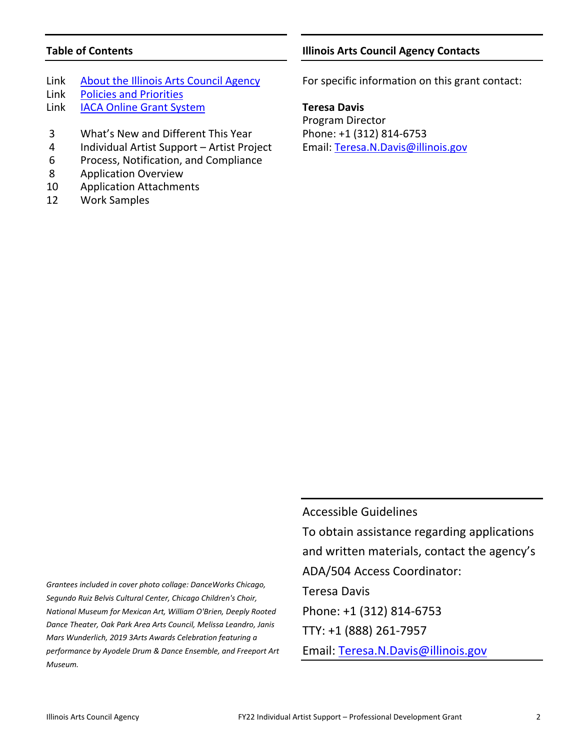# **Table of Contents**

- Link [About the Illinois Arts Council Agency](http://www.arts.illinois.gov/about-iaca)
- Link [Policies and Priorities](http://www.arts.illinois.gov/grants-programs/funding-programs/policies-priorities)
- Link [IACA Online Grant System](https://arts-illinois.force.com/)
- 3 What's New and Different This Year
- 4 Individual Artist Support Artist Project
- 6 Process, Notification, and Compliance
- 8 Application Overview
- 10 Application Attachments
- 12 Work Samples

# **Illinois Arts Council Agency Contacts**

For specific information on this grant contact:

**Teresa Davis**

Program Director Phone: +1 (312) 814-6753 Email: [Teresa.N.Davis@illinois.gov](mailto:Teresa.N.Davis@illinois.gov)

*Grantees included in cover photo collage: DanceWorks Chicago, Segundo Ruiz Belvis Cultural Center, Chicago Children's Choir, National Museum for Mexican Art, William O'Brien, Deeply Rooted Dance Theater, Oak Park Area Arts Council, Melissa Leandro, Janis Mars Wunderlich, 2019 3Arts Awards Celebration featuring a performance by Ayodele Drum & Dance Ensemble, and Freeport Art Museum.*

Accessible Guidelines To obtain assistance regarding applications and written materials, contact the agency's ADA/504 Access Coordinator: Teresa Davis Phone: +1 (312) 814-6753 TTY: +1 (888) 261-7957 Email: [Teresa.N.Davis@illinois.gov](mailto:teresa.n.davis@illinois.gov)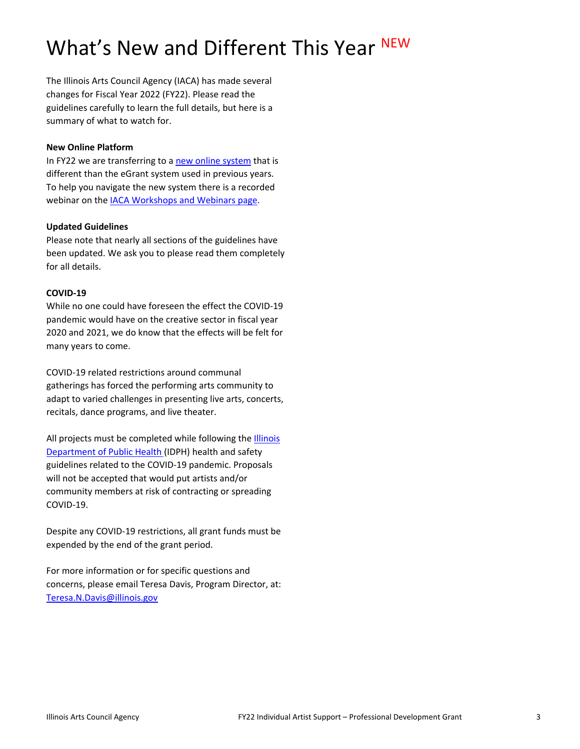# What's New and Different This Year NEW

The Illinois Arts Council Agency (IACA) has made several changes for Fiscal Year 2022 (FY22). Please read the guidelines carefully to learn the full details, but here is a summary of what to watch for.

#### **New Online Platform**

In FY22 we are transferring to [a new online system](https://arts-illinois.force.com/) that is different than the eGrant system used in previous years. To help you navigate the new system there is a recorded webinar on the [IACA Workshops and Webinars page.](https://arts.illinois.gov/Workshops%20%26%20Webinars)

#### **Updated Guidelines**

Please note that nearly all sections of the guidelines have been updated. We ask you to please read them completely for all details.

#### **COVID-19**

While no one could have foreseen the effect the COVID-19 pandemic would have on the creative sector in fiscal year 2020 and 2021, we do know that the effects will be felt for many years to come.

COVID-19 related restrictions around communal gatherings has forced the performing arts community to adapt to varied challenges in presenting live arts, concerts, recitals, dance programs, and live theater.

All projects must be completed while following the [Illinois](https://www.dph.illinois.gov/covid19)  [Department of Public Health](https://www.dph.illinois.gov/covid19) (IDPH) health and safety guidelines related to the COVID-19 pandemic. Proposals will not be accepted that would put artists and/or community members at risk of contracting or spreading COVID-19.

Despite any COVID-19 restrictions, all grant funds must be expended by the end of the grant period.

For more information or for specific questions and concerns, please email Teresa Davis, Program Director, at: [Teresa.N.Davis@illinois.gov](mailto:Teresa.N.Davis@illinois.gov)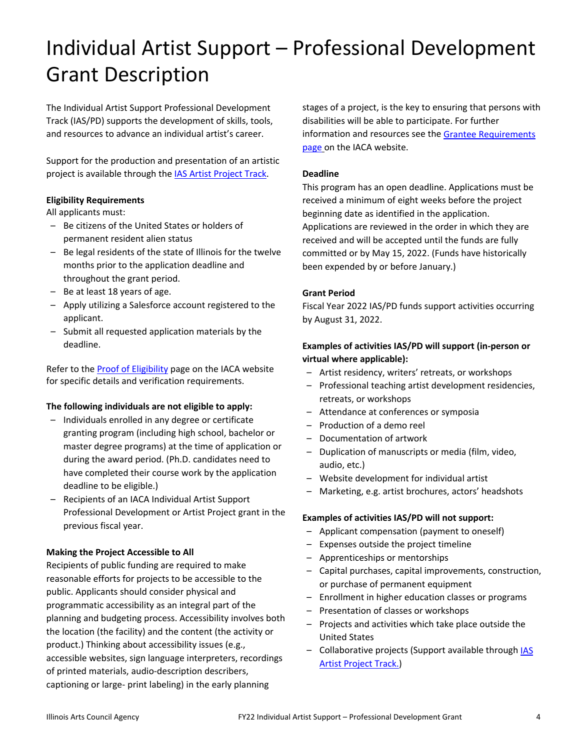# Individual Artist Support – Professional Development Grant Description

The Individual Artist Support Professional Development Track (IAS/PD) supports the development of skills, tools, and resources to advance an individual artist's career.

Support for the production and presentation of an artistic project is available through the [IAS Artist Project Track.](http://www.arts.illinois.gov/Individual%20Artist%20Support)

#### **Eligibility Requirements**

All applicants must:

- Be citizens of the United States or holders of permanent resident alien status
- Be legal residents of the state of Illinois for the twelve months prior to the application deadline and throughout the grant period.
- Be at least 18 years of age.
- Apply utilizing a Salesforce account registered to the applicant.
- Submit all requested application materials by the deadline.

Refer to the **Proof of Eligibility** page on the IACA website for specific details and verification requirements.

#### **The following individuals are not eligible to apply:**

- Individuals enrolled in any degree or certificate granting program (including high school, bachelor or master degree programs) at the time of application or during the award period. (Ph.D. candidates need to have completed their course work by the application deadline to be eligible.)
- Recipients of an IACA Individual Artist Support Professional Development or Artist Project grant in the previous fiscal year.

#### **Making the Project Accessible to All**

Recipients of public funding are required to make reasonable efforts for projects to be accessible to the public. Applicants should consider physical and programmatic accessibility as an integral part of the planning and budgeting process. Accessibility involves both the location (the facility) and the content (the activity or product.) Thinking about accessibility issues (e.g., accessible websites, sign language interpreters, recordings of printed materials, audio-description describers, captioning or large- print labeling) in the early planning

stages of a project, is the key to ensuring that persons with disabilities will be able to participate. For further information and resources see th[e Grantee Requirements](http://www.arts.illinois.gov/grantee-requirements)  [page](http://www.arts.illinois.gov/grantee-requirements) on the IACA website.

#### **Deadline**

This program has an open deadline. Applications must be received a minimum of eight weeks before the project beginning date as identified in the application. Applications are reviewed in the order in which they are received and will be accepted until the funds are fully committed or by May 15, 2022. (Funds have historically been expended by or before January.)

#### **Grant Period**

Fiscal Year 2022 IAS/PD funds support activities occurring by August 31, 2022.

# **Examples of activities IAS/PD will support (in-person or virtual where applicable):**

- Artist residency, writers' retreats, or workshops
- Professional teaching artist development residencies, retreats, or workshops
- Attendance at conferences or symposia
- Production of a demo reel
- Documentation of artwork
- Duplication of manuscripts or media (film, video, audio, etc.)
- Website development for individual artist
- Marketing, e.g. artist brochures, actors' headshots

#### **Examples of activities IAS/PD will not support:**

- Applicant compensation (payment to oneself)
- Expenses outside the project timeline
- Apprenticeships or mentorships
- Capital purchases, capital improvements, construction, or purchase of permanent equipment
- Enrollment in higher education classes or programs
- Presentation of classes or workshops
- Projects and activities which take place outside the United States
- Collaborative projects (Support available through **IAS** [Artist Project Track.](http://www.arts.illinois.gov/Individual%20Artist%20Support))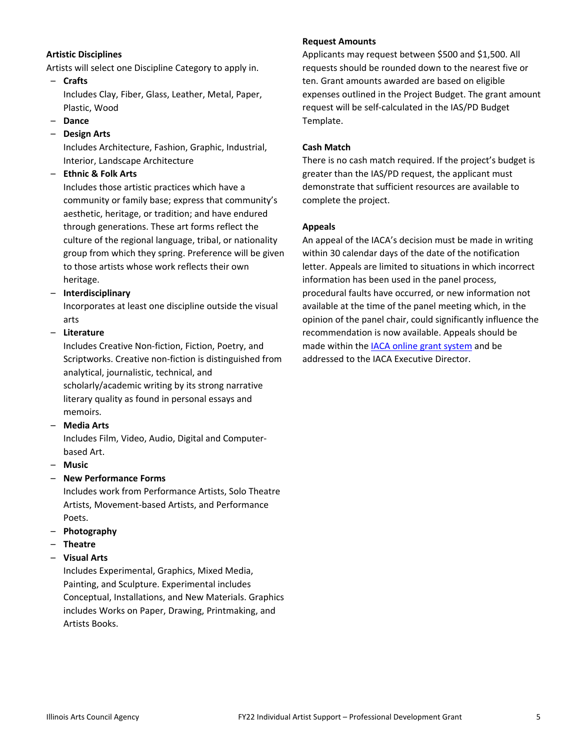#### **Artistic Disciplines**

Artists will select one Discipline Category to apply in.

– **Crafts** 

Includes Clay, Fiber, Glass, Leather, Metal, Paper, Plastic, Wood

- **Dance**
- **Design Arts**

Includes Architecture, Fashion, Graphic, Industrial, Interior, Landscape Architecture

– **Ethnic & Folk Arts** 

Includes those artistic practices which have a community or family base; express that community's aesthetic, heritage, or tradition; and have endured through generations. These art forms reflect the culture of the regional language, tribal, or nationality group from which they spring. Preference will be given to those artists whose work reflects their own heritage.

– **Interdisciplinary** 

Incorporates at least one discipline outside the visual arts

– **Literature** 

Includes Creative Non-fiction, Fiction, Poetry, and Scriptworks. Creative non-fiction is distinguished from analytical, journalistic, technical, and scholarly/academic writing by its strong narrative literary quality as found in personal essays and memoirs.

– **Media Arts** 

Includes Film, Video, Audio, Digital and Computerbased Art.

– **Music** 

# – **New Performance Forms**

Includes work from Performance Artists, Solo Theatre Artists, Movement-based Artists, and Performance Poets.

- **Photography**
- **Theatre**

#### – **Visual Arts**

Includes Experimental, Graphics, Mixed Media, Painting, and Sculpture. Experimental includes Conceptual, Installations, and New Materials. Graphics includes Works on Paper, Drawing, Printmaking, and Artists Books.

#### **Request Amounts**

Applicants may request between \$500 and \$1,500. All requests should be rounded down to the nearest five or ten. Grant amounts awarded are based on eligible expenses outlined in the Project Budget. The grant amount request will be self-calculated in the IAS/PD Budget Template.

#### **Cash Match**

There is no cash match required. If the project's budget is greater than the IAS/PD request, the applicant must demonstrate that sufficient resources are available to complete the project.

#### **Appeals**

An appeal of the IACA's decision must be made in writing within 30 calendar days of the date of the notification letter. Appeals are limited to situations in which incorrect information has been used in the panel process, procedural faults have occurred, or new information not available at the time of the panel meeting which, in the opinion of the panel chair, could significantly influence the recommendation is now available. Appeals should be made within th[e IACA online grant system](https://arts-illinois.force.com/) and be addressed to the IACA Executive Director.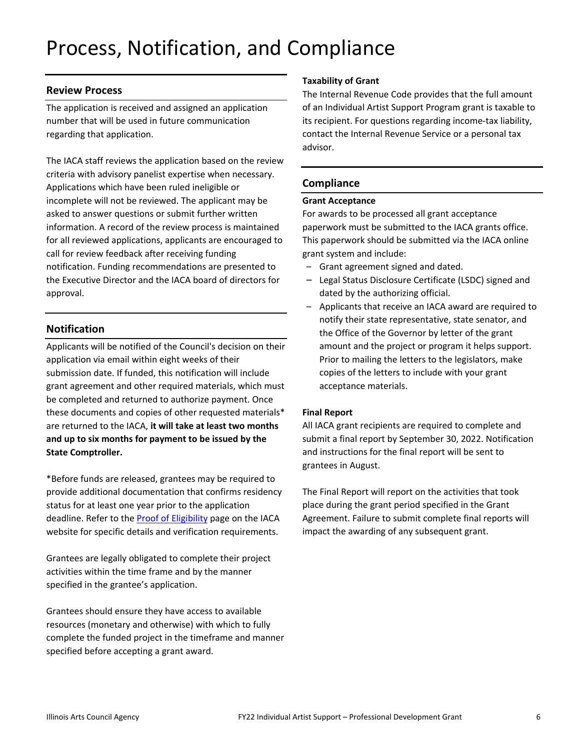# Process, Notification, and Compliance

#### **Review Process**

The application is received and assigned an application number that will be used in future communication regarding that application.

The IACA staff reviews the application based on the review criteria with advisory panelist expertise when necessary. Applications which have been ruled ineligible or incomplete will not be reviewed. The applicant may be asked to answer questions or submit further written information. A record of the review process is maintained for all reviewed applications, applicants are encouraged to call for review feedback after receiving funding notification. Funding recommendations are presented to the Executive Director and the IACA board of directors for approval.

# **Notification**

Applicants will be notified of the Council's decision on their application via email within eight weeks of their submission date. If funded, this notification will include grant agreement and other required materials, which must be completed and returned to authorize payment. Once these documents and copies of other requested materials\* are returned to the IACA, **it will take at least two months and up to six months for payment to be issued by the State Comptroller.** 

\*Before funds are released, grantees may be required to provide additional documentation that confirms residency status for at least one year prior to the application deadline. Refer to the [Proof of Eligibility](http://www.arts.illinois.gov/Proof%20of%20Eligibility) page on the IACA website for specific details and verification requirements.

Grantees are legally obligated to complete their project activities within the time frame and by the manner specified in the grantee's application.

Grantees should ensure they have access to available resources (monetary and otherwise) with which to fully complete the funded project in the timeframe and manner specified before accepting a grant award.

#### **Taxability of Grant**

The Internal Revenue Code provides that the full amount of an Individual Artist Support Program grant is taxable to its recipient. For questions regarding income-tax liability, contact the Internal Revenue Service or a personal tax advisor.

## **Compliance**

#### **Grant Acceptance**

For awards to be processed all grant acceptance paperwork must be submitted to the IACA grants office. This paperwork should be submitted via the IACA online grant system and include:

- Grant agreement signed and dated.
- Legal Status Disclosure Certificate (LSDC) signed and dated by the authorizing official.
- Applicants that receive an IACA award are required to notify their state representative, state senator, and the Office of the Governor by letter of the grant amount and the project or program it helps support. Prior to mailing the letters to the legislators, make copies of the letters to include with your grant acceptance materials.

#### **Final Report**

All IACA grant recipients are required to complete and submit a final report by September 30, 2022. Notification and instructions for the final report will be sent to grantees in August.

The Final Report will report on the activities that took place during the grant period specified in the Grant Agreement. Failure to submit complete final reports will impact the awarding of any subsequent grant.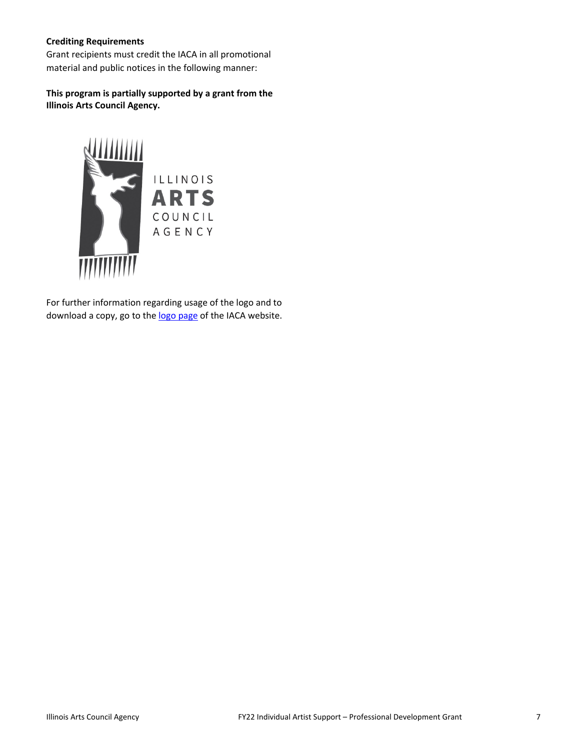#### **Crediting Requirements**

Grant recipients must credit the IACA in all promotional material and public notices in the following manner:

**This program is partially supported by a grant from the Illinois Arts Council Agency.**



For further information regarding usage of the logo and to download a copy, go to th[e logo page](http://www.arts.illinois.gov/IACLogo) of the IACA website.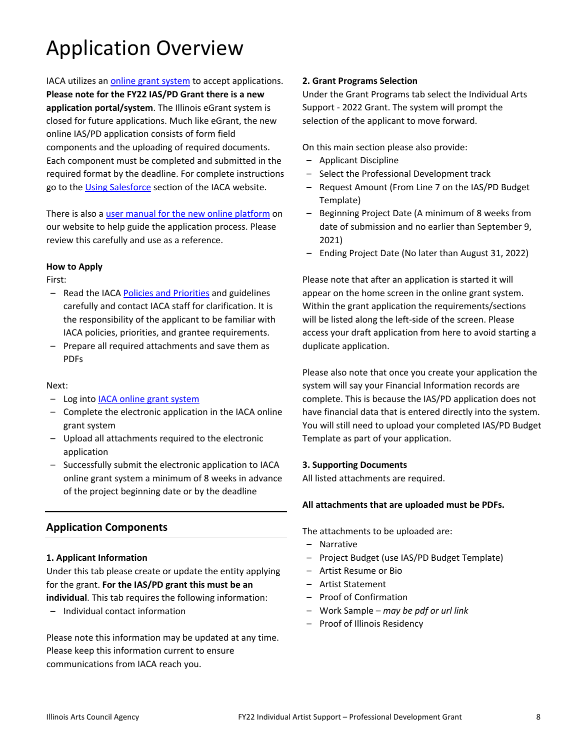# Application Overview

IACA utilizes an [online grant system](https://arts-illinois.force.com/) to accept applications. **Please note for the FY22 IAS/PD Grant there is a new application portal/system**. The Illinois eGrant system is closed for future applications. Much like eGrant, the new online IAS/PD application consists of form field components and the uploading of required documents. Each component must be completed and submitted in the required format by the deadline. For complete instructions go to the [Using Salesforce](https://arts.illinois.gov/using-salesforce) section of the IACA website.

There is also a [user manual for the new online platform](https://arts.illinois.gov/sites/default/files/content/IACA%20Applicant%20User%20Manual.pdf) on our website to help guide the application process. Please review this carefully and use as a reference.

#### **How to Apply**

First:

- Read the IACA [Policies and Priorities](http://www.arts.illinois.gov/grants-programs/funding-programs/policies-priorities) and guidelines carefully and contact IACA staff for clarification. It is the responsibility of the applicant to be familiar with IACA policies, priorities, and grantee requirements.
- Prepare all required attachments and save them as PDFs

#### Next:

- Log into **IACA online grant system**
- Complete the electronic application in the IACA online grant system
- Upload all attachments required to the electronic application
- Successfully submit the electronic application to IACA online grant system a minimum of 8 weeks in advance of the project beginning date or by the deadline

# **Application Components**

#### **1. Applicant Information**

Under this tab please create or update the entity applying for the grant. **For the IAS/PD grant this must be an individual**. This tab requires the following information:

– Individual contact information

Please note this information may be updated at any time. Please keep this information current to ensure communications from IACA reach you.

#### **2. Grant Programs Selection**

Under the Grant Programs tab select the Individual Arts Support - 2022 Grant. The system will prompt the selection of the applicant to move forward.

On this main section please also provide:

- Applicant Discipline
- Select the Professional Development track
- Request Amount (From Line 7 on the IAS/PD Budget Template)
- Beginning Project Date (A minimum of 8 weeks from date of submission and no earlier than September 9, 2021)
- Ending Project Date (No later than August 31, 2022)

Please note that after an application is started it will appear on the home screen in the online grant system. Within the grant application the requirements/sections will be listed along the left-side of the screen. Please access your draft application from here to avoid starting a duplicate application.

Please also note that once you create your application the system will say your Financial Information records are complete. This is because the IAS/PD application does not have financial data that is entered directly into the system. You will still need to upload your completed IAS/PD Budget Template as part of your application.

#### **3. Supporting Documents**

All listed attachments are required.

#### **All attachments that are uploaded must be PDFs.**

The attachments to be uploaded are:

- Narrative
- Project Budget (use IAS/PD Budget Template)
- Artist Resume or Bio
- Artist Statement
- Proof of Confirmation
- Work Sample *– may be pdf or url link*
- Proof of Illinois Residency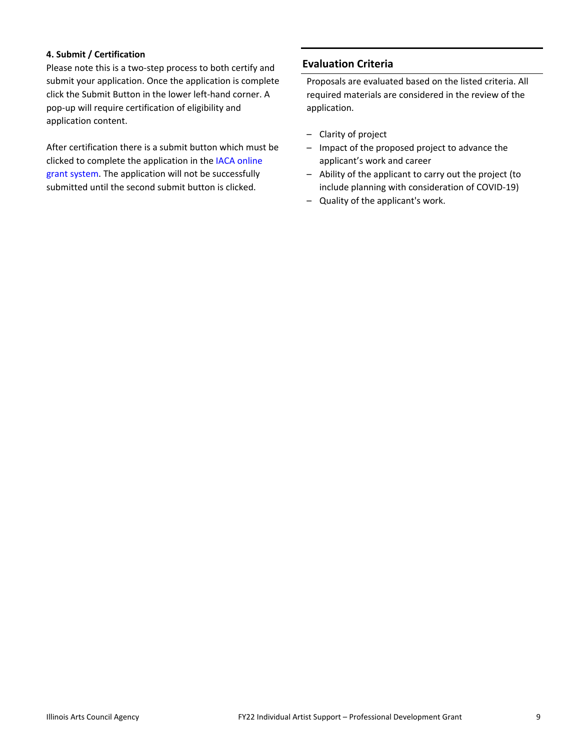#### **4. Submit / Certification**

Please note this is a two-step process to both certify and submit your application. Once the application is complete click the Submit Button in the lower left-hand corner. A pop-up will require certification of eligibility and application content.

After certification there is a submit button which must be clicked to complete the application in the [IACA online](https://arts-illinois.force.com/)  [grant system.](https://arts-illinois.force.com/) The application will not be successfully submitted until the second submit button is clicked.

# **Evaluation Criteria**

Proposals are evaluated based on the listed criteria. All required materials are considered in the review of the application.

- Clarity of project
- Impact of the proposed project to advance the applicant's work and career
- Ability of the applicant to carry out the project (to include planning with consideration of COVID-19)
- Quality of the applicant's work.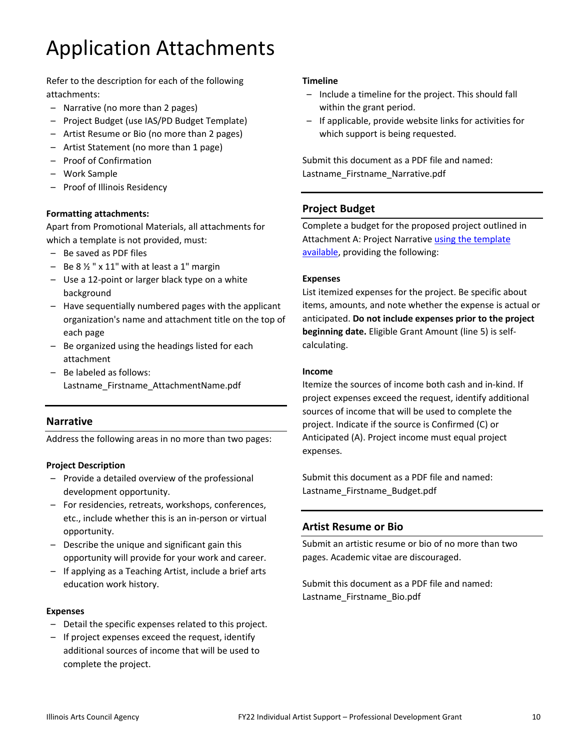# Application Attachments

Refer to the description for each of the following attachments:

- Narrative (no more than 2 pages)
- Project Budget (use IAS/PD Budget Template)
- Artist Resume or Bio (no more than 2 pages)
- Artist Statement (no more than 1 page)
- Proof of Confirmation
- Work Sample
- Proof of Illinois Residency

#### **Formatting attachments:**

Apart from Promotional Materials, all attachments for which a template is not provided, must:

- Be saved as PDF files
- $-$  Be 8  $\frac{1}{2}$  " x 11" with at least a 1" margin
- Use a 12-point or larger black type on a white background
- Have sequentially numbered pages with the applicant organization's name and attachment title on the top of each page
- Be organized using the headings listed for each attachment
- Be labeled as follows: Lastname\_Firstname\_AttachmentName.pdf

# **Narrative**

Address the following areas in no more than two pages:

#### **Project Description**

- Provide a detailed overview of the professional development opportunity.
- For residencies, retreats, workshops, conferences, etc., include whether this is an in-person or virtual opportunity.
- Describe the unique and significant gain this opportunity will provide for your work and career.
- If applying as a Teaching Artist, include a brief arts education work history.

#### **Expenses**

- Detail the specific expenses related to this project.
- If project expenses exceed the request, identify additional sources of income that will be used to complete the project.

#### **Timeline**

- Include a timeline for the project. This should fall within the grant period.
- If applicable, provide website links for activities for which support is being requested.

Submit this document as a PDF file and named: Lastname\_Firstname\_Narrative.pdf

# **Project Budget**

Complete a budget for the proposed project outlined in Attachment A: Project Narrative [using the template](https://arts.illinois.gov/sites/default/files/content/IAS%20Budget%20Template%20PD.PDF)  [available,](https://arts.illinois.gov/sites/default/files/content/IAS%20Budget%20Template%20PD.PDF) providing the following:

#### **Expenses**

List itemized expenses for the project. Be specific about items, amounts, and note whether the expense is actual or anticipated. **Do not include expenses prior to the project beginning date.** Eligible Grant Amount (line 5) is selfcalculating.

#### **Income**

Itemize the sources of income both cash and in-kind. If project expenses exceed the request, identify additional sources of income that will be used to complete the project. Indicate if the source is Confirmed (C) or Anticipated (A). Project income must equal project expenses.

Submit this document as a PDF file and named: Lastname\_Firstname\_Budget.pdf

# **Artist Resume or Bio**

Submit an artistic resume or bio of no more than two pages. Academic vitae are discouraged.

Submit this document as a PDF file and named: Lastname\_Firstname\_Bio.pdf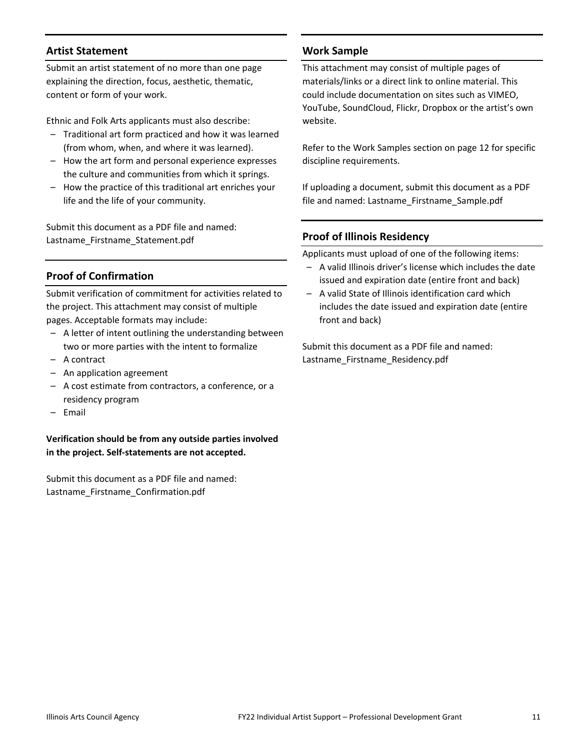## **Artist Statement**

Submit an artist statement of no more than one page explaining the direction, focus, aesthetic, thematic, content or form of your work.

Ethnic and Folk Arts applicants must also describe:

- Traditional art form practiced and how it was learned (from whom, when, and where it was learned).
- How the art form and personal experience expresses the culture and communities from which it springs.
- How the practice of this traditional art enriches your life and the life of your community.

Submit this document as a PDF file and named: Lastname\_Firstname\_Statement.pdf

# **Proof of Confirmation**

Submit verification of commitment for activities related to the project. This attachment may consist of multiple pages. Acceptable formats may include:

- A letter of intent outlining the understanding between two or more parties with the intent to formalize
- A contract
- An application agreement
- A cost estimate from contractors, a conference, or a residency program
- Email

**Verification should be from any outside parties involved in the project. Self-statements are not accepted.**

Submit this document as a PDF file and named: Lastname\_Firstname\_Confirmation.pdf

# **Work Sample**

This attachment may consist of multiple pages of materials/links or a direct link to online material. This could include documentation on sites such as VIMEO, YouTube, SoundCloud, Flickr, Dropbox or the artist's own website.

Refer to the Work Samples section on page 12 for specific discipline requirements.

If uploading a document, submit this document as a PDF file and named: Lastname\_Firstname\_Sample.pdf

## **Proof of Illinois Residency**

Applicants must upload of one of the following items:

- A valid Illinois driver's license which includes the date issued and expiration date (entire front and back)
- A valid State of Illinois identification card which includes the date issued and expiration date (entire front and back)

Submit this document as a PDF file and named: Lastname\_Firstname\_Residency.pdf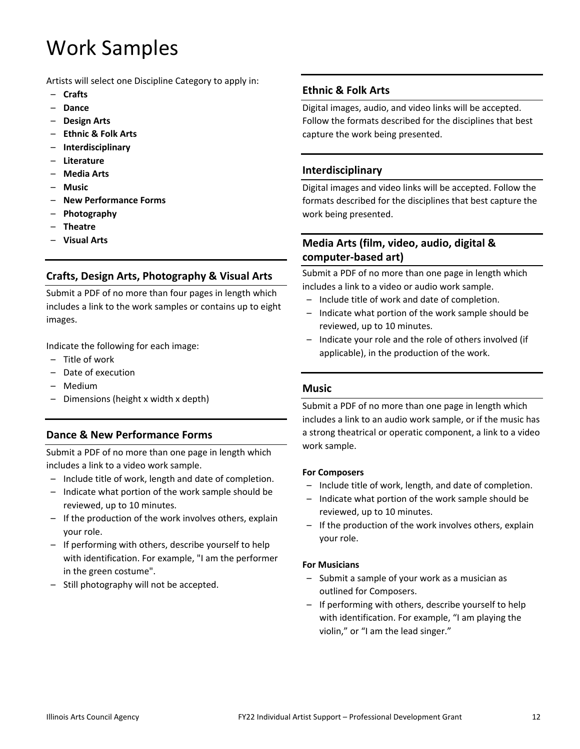# Work Samples

Artists will select one Discipline Category to apply in:

- **Crafts**
- **Dance**
- **Design Arts**
- **Ethnic & Folk Arts**
- **Interdisciplinary**
- **Literature**
- **Media Arts**
- **Music**
- **New Performance Forms**
- **Photography**
- **Theatre**
- **Visual Arts**

# **Crafts, Design Arts, Photography & Visual Arts**

Submit a PDF of no more than four pages in length which includes a link to the work samples or contains up to eight images.

Indicate the following for each image:

- Title of work
- Date of execution
- Medium
- Dimensions (height x width x depth)

#### **Dance & New Performance Forms**

Submit a PDF of no more than one page in length which includes a link to a video work sample.

- Include title of work, length and date of completion.
- Indicate what portion of the work sample should be reviewed, up to 10 minutes.
- If the production of the work involves others, explain your role.
- If performing with others, describe yourself to help with identification. For example, "I am the performer in the green costume".
- Still photography will not be accepted.

#### **Ethnic & Folk Arts**

Digital images, audio, and video links will be accepted. Follow the formats described for the disciplines that best capture the work being presented.

#### **Interdisciplinary**

Digital images and video links will be accepted. Follow the formats described for the disciplines that best capture the work being presented.

# **Media Arts (film, video, audio, digital & computer-based art)**

Submit a PDF of no more than one page in length which includes a link to a video or audio work sample.

- Include title of work and date of completion.
- Indicate what portion of the work sample should be reviewed, up to 10 minutes.
- Indicate your role and the role of others involved (if applicable), in the production of the work.

#### **Music**

Submit a PDF of no more than one page in length which includes a link to an audio work sample, or if the music has a strong theatrical or operatic component, a link to a video work sample.

#### **For Composers**

- Include title of work, length, and date of completion.
- Indicate what portion of the work sample should be reviewed, up to 10 minutes.
- If the production of the work involves others, explain your role.

#### **For Musicians**

- Submit a sample of your work as a musician as outlined for Composers.
- If performing with others, describe yourself to help with identification. For example, "I am playing the violin," or "I am the lead singer."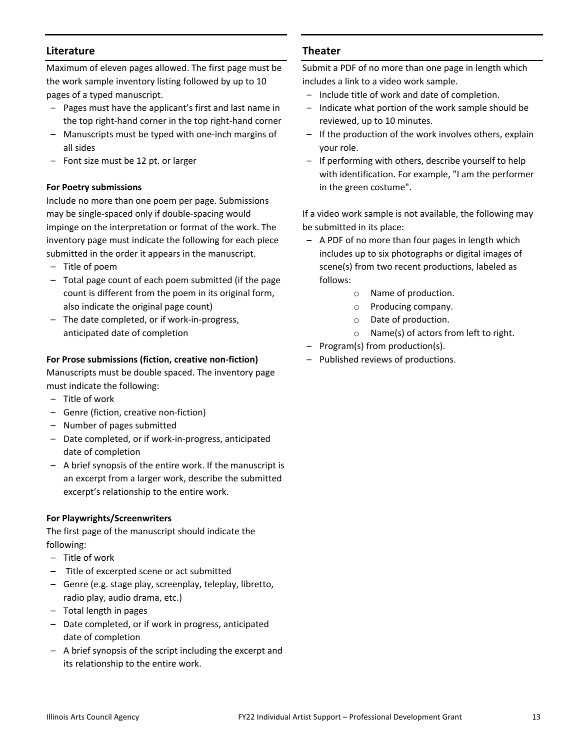## **Literature**

Maximum of eleven pages allowed. The first page must be the work sample inventory listing followed by up to 10 pages of a typed manuscript.

- Pages must have the applicant's first and last name in the top right-hand corner in the top right-hand corner
- Manuscripts must be typed with one-inch margins of all sides
- Font size must be 12 pt. or larger

#### **For Poetry submissions**

Include no more than one poem per page. Submissions may be single-spaced only if double-spacing would impinge on the interpretation or format of the work. The inventory page must indicate the following for each piece submitted in the order it appears in the manuscript.

- Title of poem
- Total page count of each poem submitted (if the page count is different from the poem in its original form, also indicate the original page count)
- The date completed, or if work-in-progress, anticipated date of completion

## **For Prose submissions (fiction, creative non-fiction)**

Manuscripts must be double spaced. The inventory page must indicate the following:

- Title of work
- Genre (fiction, creative non-fiction)
- Number of pages submitted
- Date completed, or if work-in-progress, anticipated date of completion
- A brief synopsis of the entire work. If the manuscript is an excerpt from a larger work, describe the submitted excerpt's relationship to the entire work.

#### **For Playwrights/Screenwriters**

The first page of the manuscript should indicate the following:

- Title of work
- Title of excerpted scene or act submitted
- Genre (e.g. stage play, screenplay, teleplay, libretto, radio play, audio drama, etc.)
- Total length in pages
- Date completed, or if work in progress, anticipated date of completion
- A brief synopsis of the script including the excerpt and its relationship to the entire work.

## **Theater**

Submit a PDF of no more than one page in length which includes a link to a video work sample.

- Include title of work and date of completion.
- Indicate what portion of the work sample should be reviewed, up to 10 minutes.
- If the production of the work involves others, explain your role.
- If performing with others, describe yourself to help with identification. For example, "I am the performer in the green costume".

If a video work sample is not available, the following may be submitted in its place:

- A PDF of no more than four pages in length which includes up to six photographs or digital images of scene(s) from two recent productions, labeled as follows:
	- o Name of production.
	- o Producing company.
	- o Date of production.
	- o Name(s) of actors from left to right.
- Program(s) from production(s).
- Published reviews of productions.